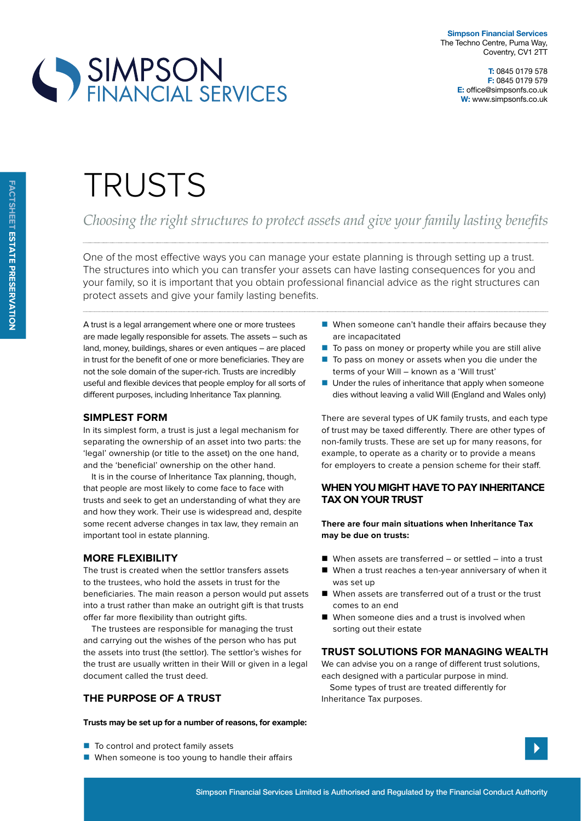



# TRUSTS

Choosing the right structures to protect assets and give your family lasting benefits

One of the most efective ways you can manage your estate planning is through setting up a trust. The structures into which you can transfer your assets can have lasting consequences for you and your family, so it is important that you obtain professional financial advice as the right structures can protect assets and give your family lasting benefits.

A trust is a legal arrangement where one or more trustees are made legally responsible for assets. The assets – such as land, money, buildings, shares or even antiques – are placed in trust for the benefit of one or more beneficiaries. They are not the sole domain of the super-rich. Trusts are incredibly useful and flexible devices that people employ for all sorts of diferent purposes, including Inheritance Tax planning.

## **simplest Form**

In its simplest form, a trust is just a legal mechanism for separating the ownership of an asset into two parts: the 'legal' ownership (or title to the asset) on the one hand, and the 'beneficial' ownership on the other hand.

It is in the course of Inheritance Tax planning, though, that people are most likely to come face to face with trusts and seek to get an understanding of what they are and how they work. Their use is widespread and, despite some recent adverse changes in tax law, they remain an important tool in estate planning.

# **more FlexiBility**

The trust is created when the settlor transfers assets to the trustees, who hold the assets in trust for the beneficiaries. The main reason a person would put assets into a trust rather than make an outright gift is that trusts offer far more flexibility than outright gifts.

The trustees are responsible for managing the trust and carrying out the wishes of the person who has put the assets into trust (the settlor). The settlor's wishes for the trust are usually written in their Will or given in a legal document called the trust deed.

# **tHe purpose oF a trust**

**trusts may be set up for a number of reasons, for example:**

- $\blacksquare$  To control and protect family assets
- $\blacksquare$  When someone is too young to handle their affairs
- $\blacksquare$  When someone can't handle their affairs because they are incapacitated
- $\blacksquare$  To pass on money or property while you are still alive
- $\blacksquare$  To pass on money or assets when you die under the terms of your Will – known as a 'Will trust'
- $\blacksquare$  Under the rules of inheritance that apply when someone dies without leaving a valid Will (England and Wales only)

There are several types of UK family trusts, and each type of trust may be taxed diferently. There are other types of non-family trusts. These are set up for many reasons, for example, to operate as a charity or to provide a means for employers to create a pension scheme for their staf.

## **wHen you migHt Have to pay inHeritance tax on your trust**

## **There are four main situations when Inheritance Tax may be due on trusts:**

- When assets are transferred or settled into a trust
- When a trust reaches a ten-year anniversary of when it was set up
- When assets are transferred out of a trust or the trust comes to an end
- When someone dies and a trust is involved when sorting out their estate

# **trust solutions For managing wealtH**

We can advise you on a range of diferent trust solutions, each designed with a particular purpose in mind.

Some types of trust are treated diferently for Inheritance Tax purposes.